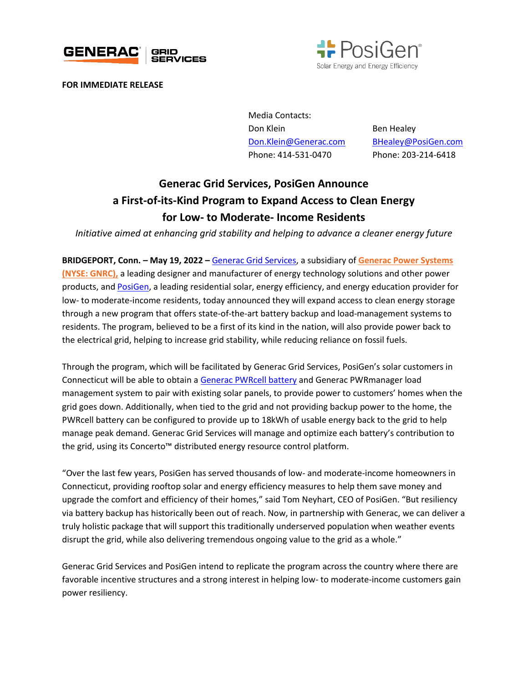



**FOR IMMEDIATE RELEASE**

Media Contacts: Don Klein Ben Healey [Don.Klein@Generac.com](mailto:Don.Klein@Generac.com) [BHealey@PosiGen.com](mailto:BHealey@PosiGen.com)  Phone: 414-531-0470 Phone: 203-214-6418

## **Generac Grid Services, PosiGen Announce a First-of-its-Kind Program to Expand Access to Clean Energy for Low- to Moderate- Income Residents**

*Initiative aimed at enhancing grid stability and helping to advance a cleaner energy future*

**BRIDGEPORT, Conn. – May 19, 2022 –** [Generac Grid Services,](https://www.enbala.com/) a subsidiary of **[Generac Power Systems](http://www.generac.com/)  [\(NYSE: GNRC\),](http://www.generac.com/)** a leading designer and manufacturer of energy technology solutions and other power products, and [PosiGen,](https://www.posigen.com/) a leading residential solar, energy efficiency, and energy education provider for low- to moderate-income residents, today announced they will expand access to clean energy storage through a new program that offers state-of-the-art battery backup and load-management systems to residents. The program, believed to be a first of its kind in the nation, will also provide power back to the electrical grid, helping to increase grid stability, while reducing reliance on fossil fuels.

Through the program, which will be facilitated by Generac Grid Services, PosiGen's solar customers in Connecticut will be able to obtain [a Generac PWRcell battery](https://www.generac.com/all-products/clean-energy/pwrcell) and Generac PWRmanager load management system to pair with existing solar panels, to provide power to customers' homes when the grid goes down. Additionally, when tied to the grid and not providing backup power to the home, the PWRcell battery can be configured to provide up to 18kWh of usable energy back to the grid to help manage peak demand. Generac Grid Services will manage and optimize each battery's contribution to the grid, using its Concerto™ distributed energy resource control platform.

"Over the last few years, PosiGen has served thousands of low- and moderate-income homeowners in Connecticut, providing rooftop solar and energy efficiency measures to help them save money and upgrade the comfort and efficiency of their homes," said Tom Neyhart, CEO of PosiGen. "But resiliency via battery backup has historically been out of reach. Now, in partnership with Generac, we can deliver a truly holistic package that will support this traditionally underserved population when weather events disrupt the grid, while also delivering tremendous ongoing value to the grid as a whole."

Generac Grid Services and PosiGen intend to replicate the program across the country where there are favorable incentive structures and a strong interest in helping low- to moderate-income customers gain power resiliency.